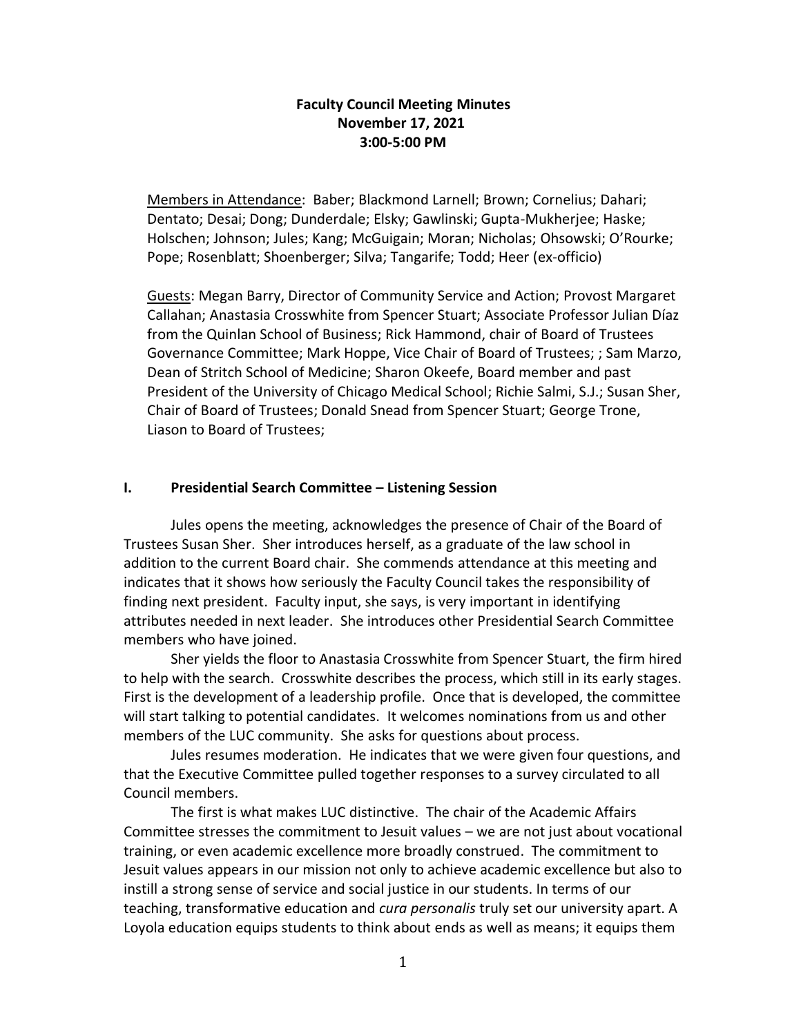# **Faculty Council Meeting Minutes November 17, 2021 3:00-5:00 PM**

Members in Attendance: Baber; Blackmond Larnell; Brown; Cornelius; Dahari; Dentato; Desai; Dong; Dunderdale; Elsky; Gawlinski; Gupta-Mukherjee; Haske; Holschen; Johnson; Jules; Kang; McGuigain; Moran; Nicholas; Ohsowski; O'Rourke; Pope; Rosenblatt; Shoenberger; Silva; Tangarife; Todd; Heer (ex-officio)

Guests: Megan Barry, Director of Community Service and Action; Provost Margaret Callahan; Anastasia Crosswhite from Spencer Stuart; Associate Professor Julian Díaz from the Quinlan School of Business; Rick Hammond, chair of Board of Trustees Governance Committee; Mark Hoppe, Vice Chair of Board of Trustees; ; Sam Marzo, Dean of Stritch School of Medicine; Sharon Okeefe, Board member and past President of the University of Chicago Medical School; Richie Salmi, S.J.; Susan Sher, Chair of Board of Trustees; Donald Snead from Spencer Stuart; George Trone, Liason to Board of Trustees;

## **I. Presidential Search Committee – Listening Session**

Jules opens the meeting, acknowledges the presence of Chair of the Board of Trustees Susan Sher. Sher introduces herself, as a graduate of the law school in addition to the current Board chair. She commends attendance at this meeting and indicates that it shows how seriously the Faculty Council takes the responsibility of finding next president. Faculty input, she says, is very important in identifying attributes needed in next leader. She introduces other Presidential Search Committee members who have joined.

Sher yields the floor to Anastasia Crosswhite from Spencer Stuart, the firm hired to help with the search. Crosswhite describes the process, which still in its early stages. First is the development of a leadership profile. Once that is developed, the committee will start talking to potential candidates. It welcomes nominations from us and other members of the LUC community. She asks for questions about process.

Jules resumes moderation. He indicates that we were given four questions, and that the Executive Committee pulled together responses to a survey circulated to all Council members.

The first is what makes LUC distinctive. The chair of the Academic Affairs Committee stresses the commitment to Jesuit values – we are not just about vocational training, or even academic excellence more broadly construed. The commitment to Jesuit values appears in our mission not only to achieve academic excellence but also to instill a strong sense of service and social justice in our students. In terms of our teaching, transformative education and *cura personalis* truly set our university apart. A Loyola education equips students to think about ends as well as means; it equips them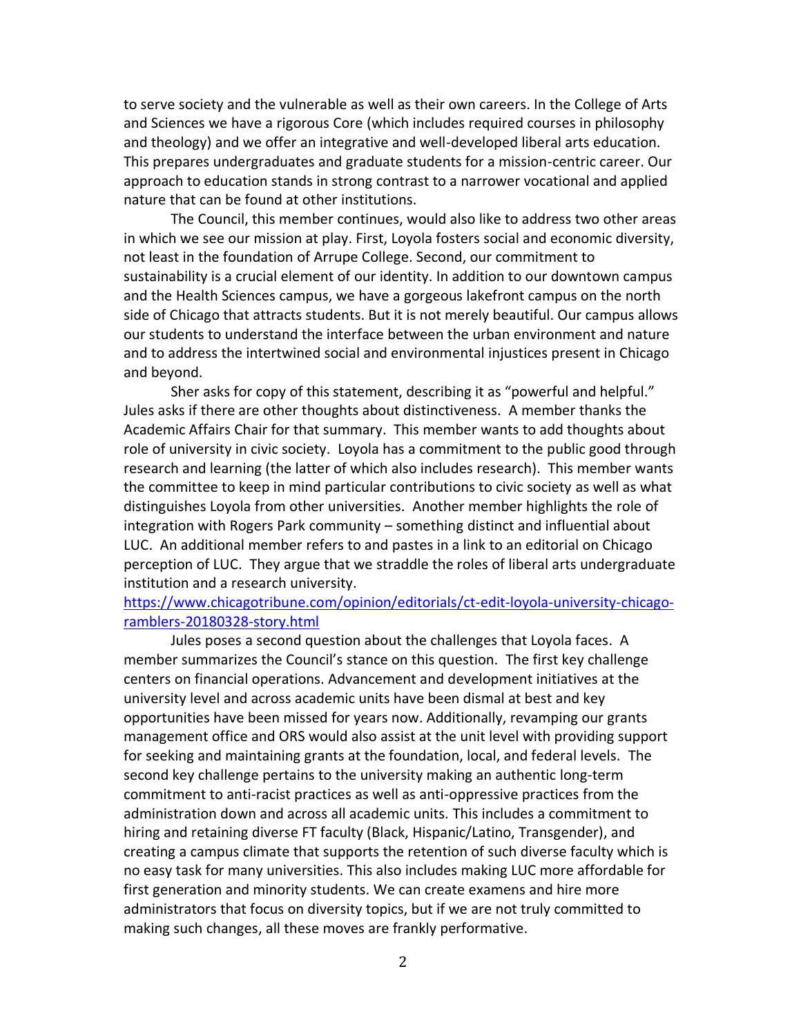to serve society and the vulnerable as well as their own careers. In the College of Arts and Sciences we have a rigorous Core (which includes required courses in philosophy and theology) and we offer an integrative and well-developed liberal arts education. This prepares undergraduates and graduate students for a mission-centric career. Our approach to education stands in strong contrast to a narrower vocational and applied nature that can be found at other institutions.

The Council, this member continues, would also like to address two other areas in which we see our mission at play. First, Loyola fosters social and economic diversity, not least in the foundation of Arrupe College. Second, our commitment to sustainability is a crucial element of our identity. In addition to our downtown campus and the Health Sciences campus, we have a gorgeous lakefront campus on the north side of Chicago that attracts students. But it is not merely beautiful. Our campus allows our students to understand the interface between the urban environment and nature and to address the intertwined social and environmental injustices present in Chicago and beyond.

Sher asks for copy of this statement, describing it as "powerful and helpful." Jules asks if there are other thoughts about distinctiveness. A member thanks the Academic Affairs Chair for that summary. This member wants to add thoughts about role of university in civic society. Loyola has a commitment to the public good through research and learning (the latter of which also includes research). This member wants the committee to keep in mind particular contributions to civic society as well as what distinguishes Loyola from other universities. Another member highlights the role of integration with Rogers Park community – something distinct and influential about LUC. An additional member refers to and pastes in a link to an editorial on Chicago perception of LUC. They argue that we straddle the roles of liberal arts undergraduate institution and a research university.

# [https://www.chicagotribune.com/opinion/editorials/ct-edit-loyola-university-chicago](https://www.chicagotribune.com/opinion/editorials/ct-edit-loyola-university-chicago-ramblers-20180328-story.html)[ramblers-20180328-story.html](https://www.chicagotribune.com/opinion/editorials/ct-edit-loyola-university-chicago-ramblers-20180328-story.html)

Jules poses a second question about the challenges that Loyola faces. A member summarizes the Council's stance on this question. The first key challenge centers on financial operations. Advancement and development initiatives at the university level and across academic units have been dismal at best and key opportunities have been missed for years now. Additionally, revamping our grants management office and ORS would also assist at the unit level with providing support for seeking and maintaining grants at the foundation, local, and federal levels. The second key challenge pertains to the university making an authentic long-term commitment to anti-racist practices as well as anti-oppressive practices from the administration down and across all academic units. This includes a commitment to hiring and retaining diverse FT faculty (Black, Hispanic/Latino, Transgender), and creating a campus climate that supports the retention of such diverse faculty which is no easy task for many universities. This also includes making LUC more affordable for first generation and minority students. We can create examens and hire more administrators that focus on diversity topics, but if we are not truly committed to making such changes, all these moves are frankly performative.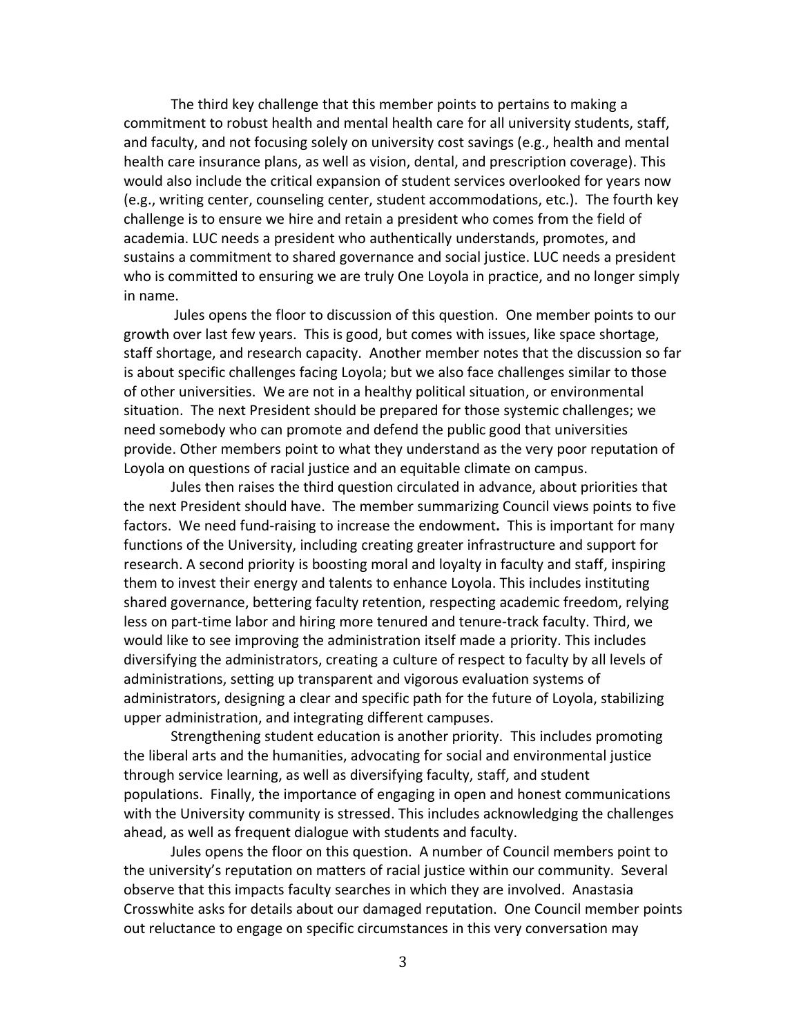The third key challenge that this member points to pertains to making a commitment to robust health and mental health care for all university students, staff, and faculty, and not focusing solely on university cost savings (e.g., health and mental health care insurance plans, as well as vision, dental, and prescription coverage). This would also include the critical expansion of student services overlooked for years now (e.g., writing center, counseling center, student accommodations, etc.). The fourth key challenge is to ensure we hire and retain a president who comes from the field of academia. LUC needs a president who authentically understands, promotes, and sustains a commitment to shared governance and social justice. LUC needs a president who is committed to ensuring we are truly One Loyola in practice, and no longer simply in name.

Jules opens the floor to discussion of this question. One member points to our growth over last few years. This is good, but comes with issues, like space shortage, staff shortage, and research capacity. Another member notes that the discussion so far is about specific challenges facing Loyola; but we also face challenges similar to those of other universities. We are not in a healthy political situation, or environmental situation. The next President should be prepared for those systemic challenges; we need somebody who can promote and defend the public good that universities provide. Other members point to what they understand as the very poor reputation of Loyola on questions of racial justice and an equitable climate on campus.

Jules then raises the third question circulated in advance, about priorities that the next President should have. The member summarizing Council views points to five factors. We need fund-raising to increase the endowment**.** This is important for many functions of the University, including creating greater infrastructure and support for research. A second priority is boosting moral and loyalty in faculty and staff, inspiring them to invest their energy and talents to enhance Loyola. This includes instituting shared governance, bettering faculty retention, respecting academic freedom, relying less on part-time labor and hiring more tenured and tenure-track faculty. Third, we would like to see improving the administration itself made a priority. This includes diversifying the administrators, creating a culture of respect to faculty by all levels of administrations, setting up transparent and vigorous evaluation systems of administrators, designing a clear and specific path for the future of Loyola, stabilizing upper administration, and integrating different campuses.

Strengthening student education is another priority. This includes promoting the liberal arts and the humanities, advocating for social and environmental justice through service learning, as well as diversifying faculty, staff, and student populations. Finally, the importance of engaging in open and honest communications with the University community is stressed. This includes acknowledging the challenges ahead, as well as frequent dialogue with students and faculty.

Jules opens the floor on this question. A number of Council members point to the university's reputation on matters of racial justice within our community. Several observe that this impacts faculty searches in which they are involved. Anastasia Crosswhite asks for details about our damaged reputation. One Council member points out reluctance to engage on specific circumstances in this very conversation may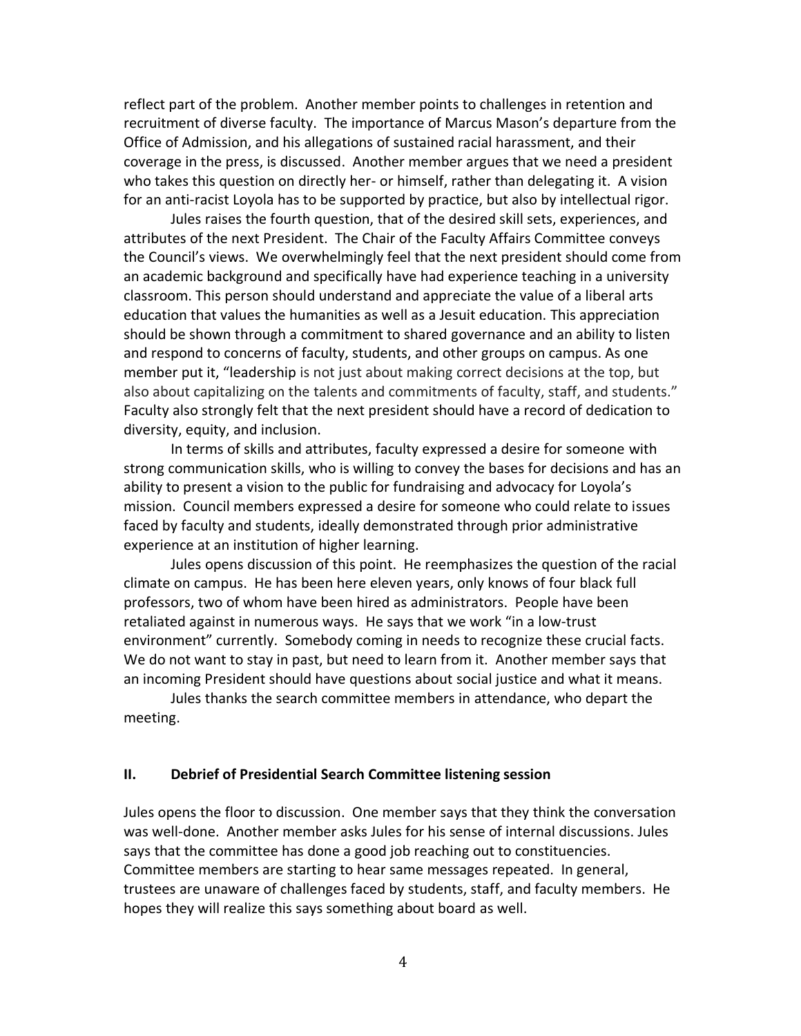reflect part of the problem. Another member points to challenges in retention and recruitment of diverse faculty. The importance of Marcus Mason's departure from the Office of Admission, and his allegations of sustained racial harassment, and their coverage in the press, is discussed. Another member argues that we need a president who takes this question on directly her- or himself, rather than delegating it. A vision for an anti-racist Loyola has to be supported by practice, but also by intellectual rigor.

Jules raises the fourth question, that of the desired skill sets, experiences, and attributes of the next President. The Chair of the Faculty Affairs Committee conveys the Council's views. We overwhelmingly feel that the next president should come from an academic background and specifically have had experience teaching in a university classroom. This person should understand and appreciate the value of a liberal arts education that values the humanities as well as a Jesuit education. This appreciation should be shown through a commitment to shared governance and an ability to listen and respond to concerns of faculty, students, and other groups on campus. As one member put it, "leadership is not just about making correct decisions at the top, but also about capitalizing on the talents and commitments of faculty, staff, and students." Faculty also strongly felt that the next president should have a record of dedication to diversity, equity, and inclusion.

In terms of skills and attributes, faculty expressed a desire for someone with strong communication skills, who is willing to convey the bases for decisions and has an ability to present a vision to the public for fundraising and advocacy for Loyola's mission. Council members expressed a desire for someone who could relate to issues faced by faculty and students, ideally demonstrated through prior administrative experience at an institution of higher learning.

Jules opens discussion of this point. He reemphasizes the question of the racial climate on campus. He has been here eleven years, only knows of four black full professors, two of whom have been hired as administrators. People have been retaliated against in numerous ways. He says that we work "in a low-trust environment" currently. Somebody coming in needs to recognize these crucial facts. We do not want to stay in past, but need to learn from it. Another member says that an incoming President should have questions about social justice and what it means.

Jules thanks the search committee members in attendance, who depart the meeting.

### **II. Debrief of Presidential Search Committee listening session**

Jules opens the floor to discussion. One member says that they think the conversation was well-done. Another member asks Jules for his sense of internal discussions. Jules says that the committee has done a good job reaching out to constituencies. Committee members are starting to hear same messages repeated. In general, trustees are unaware of challenges faced by students, staff, and faculty members. He hopes they will realize this says something about board as well.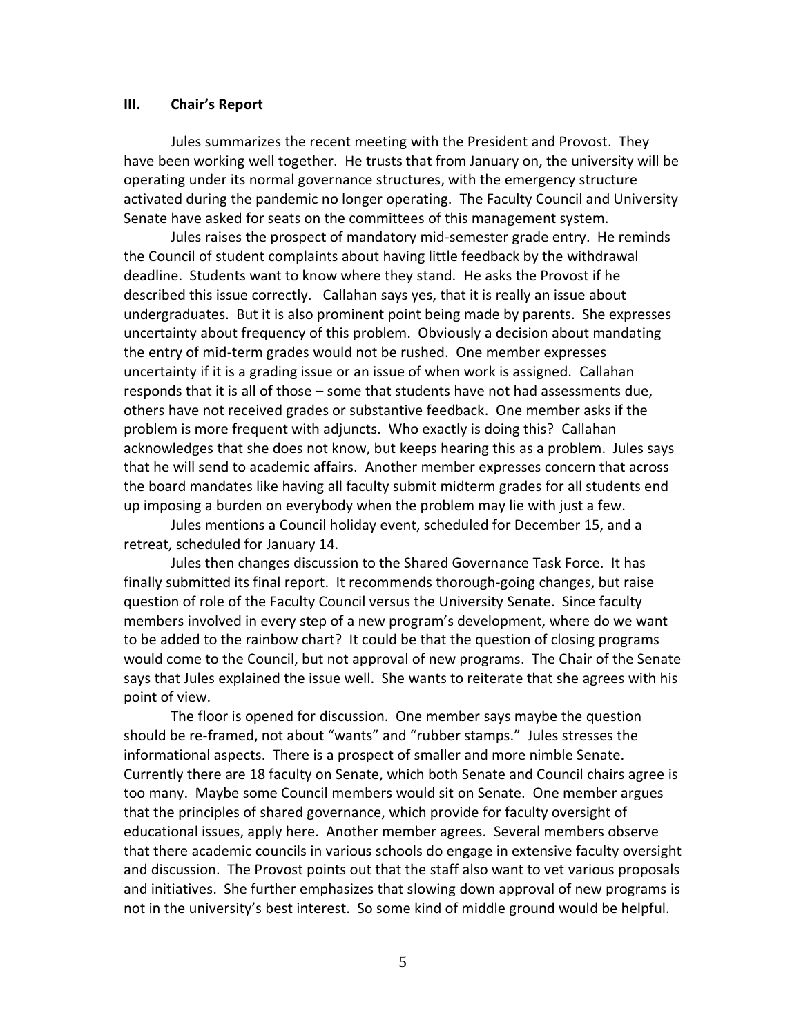#### **III. Chair's Report**

Jules summarizes the recent meeting with the President and Provost. They have been working well together. He trusts that from January on, the university will be operating under its normal governance structures, with the emergency structure activated during the pandemic no longer operating. The Faculty Council and University Senate have asked for seats on the committees of this management system.

Jules raises the prospect of mandatory mid-semester grade entry. He reminds the Council of student complaints about having little feedback by the withdrawal deadline. Students want to know where they stand. He asks the Provost if he described this issue correctly. Callahan says yes, that it is really an issue about undergraduates. But it is also prominent point being made by parents. She expresses uncertainty about frequency of this problem. Obviously a decision about mandating the entry of mid-term grades would not be rushed. One member expresses uncertainty if it is a grading issue or an issue of when work is assigned. Callahan responds that it is all of those – some that students have not had assessments due, others have not received grades or substantive feedback. One member asks if the problem is more frequent with adjuncts. Who exactly is doing this? Callahan acknowledges that she does not know, but keeps hearing this as a problem. Jules says that he will send to academic affairs. Another member expresses concern that across the board mandates like having all faculty submit midterm grades for all students end up imposing a burden on everybody when the problem may lie with just a few.

Jules mentions a Council holiday event, scheduled for December 15, and a retreat, scheduled for January 14.

Jules then changes discussion to the Shared Governance Task Force. It has finally submitted its final report. It recommends thorough-going changes, but raise question of role of the Faculty Council versus the University Senate. Since faculty members involved in every step of a new program's development, where do we want to be added to the rainbow chart? It could be that the question of closing programs would come to the Council, but not approval of new programs. The Chair of the Senate says that Jules explained the issue well. She wants to reiterate that she agrees with his point of view.

The floor is opened for discussion. One member says maybe the question should be re-framed, not about "wants" and "rubber stamps." Jules stresses the informational aspects. There is a prospect of smaller and more nimble Senate. Currently there are 18 faculty on Senate, which both Senate and Council chairs agree is too many. Maybe some Council members would sit on Senate. One member argues that the principles of shared governance, which provide for faculty oversight of educational issues, apply here. Another member agrees. Several members observe that there academic councils in various schools do engage in extensive faculty oversight and discussion. The Provost points out that the staff also want to vet various proposals and initiatives. She further emphasizes that slowing down approval of new programs is not in the university's best interest. So some kind of middle ground would be helpful.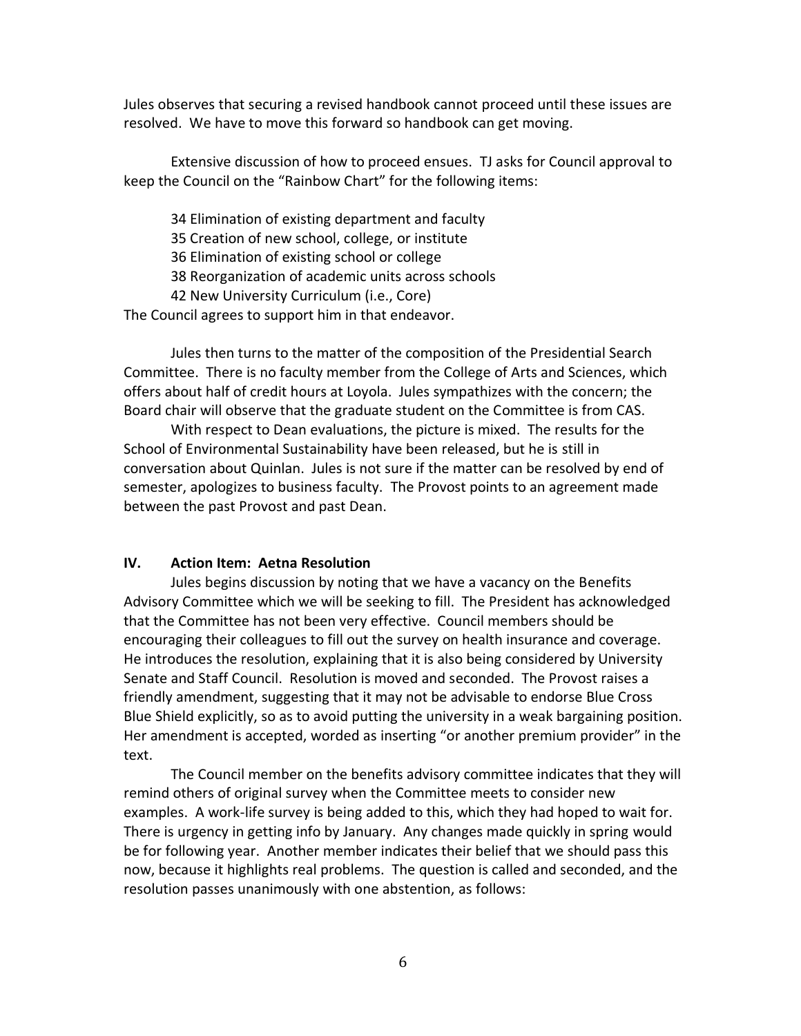Jules observes that securing a revised handbook cannot proceed until these issues are resolved. We have to move this forward so handbook can get moving.

Extensive discussion of how to proceed ensues. TJ asks for Council approval to keep the Council on the "Rainbow Chart" for the following items:

34 Elimination of existing department and faculty

35 Creation of new school, college, or institute

36 Elimination of existing school or college

38 Reorganization of academic units across schools

42 New University Curriculum (i.e., Core)

The Council agrees to support him in that endeavor.

Jules then turns to the matter of the composition of the Presidential Search Committee. There is no faculty member from the College of Arts and Sciences, which offers about half of credit hours at Loyola. Jules sympathizes with the concern; the Board chair will observe that the graduate student on the Committee is from CAS.

With respect to Dean evaluations, the picture is mixed. The results for the School of Environmental Sustainability have been released, but he is still in conversation about Quinlan. Jules is not sure if the matter can be resolved by end of semester, apologizes to business faculty. The Provost points to an agreement made between the past Provost and past Dean.

## **IV. Action Item: Aetna Resolution**

Jules begins discussion by noting that we have a vacancy on the Benefits Advisory Committee which we will be seeking to fill. The President has acknowledged that the Committee has not been very effective. Council members should be encouraging their colleagues to fill out the survey on health insurance and coverage. He introduces the resolution, explaining that it is also being considered by University Senate and Staff Council. Resolution is moved and seconded. The Provost raises a friendly amendment, suggesting that it may not be advisable to endorse Blue Cross Blue Shield explicitly, so as to avoid putting the university in a weak bargaining position. Her amendment is accepted, worded as inserting "or another premium provider" in the text.

The Council member on the benefits advisory committee indicates that they will remind others of original survey when the Committee meets to consider new examples. A work-life survey is being added to this, which they had hoped to wait for. There is urgency in getting info by January. Any changes made quickly in spring would be for following year. Another member indicates their belief that we should pass this now, because it highlights real problems. The question is called and seconded, and the resolution passes unanimously with one abstention, as follows: